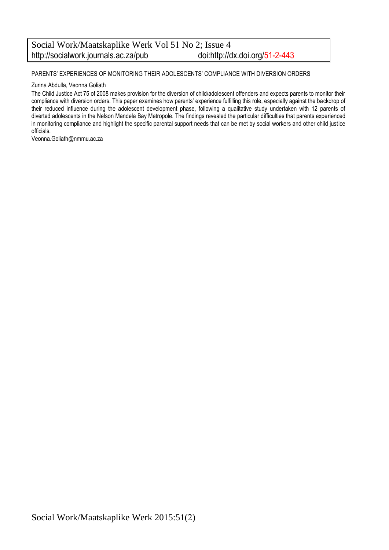#### Social Work/Maatskaplike Werk Vol 51 No 2; Issue 4<br>http://socialwork.journals.ac.za/pub doi:http://dx.doi.org/51-2-443 http://socialwork.journals.ac.za/pub

#### PARENTS' EXPERIENCES OF MONITORING THEIR ADOLESCENTS' COMPLIANCE WITH DIVERSION ORDERS

#### Zurina Abdulla, Veonna Goliath

The Child Justice Act 75 of 2008 makes provision for the diversion of child/adolescent offenders and expects parents to monitor their compliance with diversion orders. This paper examines how parents' experience fulfilling this role, especially against the backdrop of their reduced influence during the adolescent development phase, following a qualitative study undertaken with 12 parents of diverted adolescents in the Nelson Mandela Bay Metropole. The findings revealed the particular difficulties that parents experienced in monitoring compliance and highlight the specific parental support needs that can be met by social workers and other child justice officials.

Veonna.Goliath@nmmu.ac.za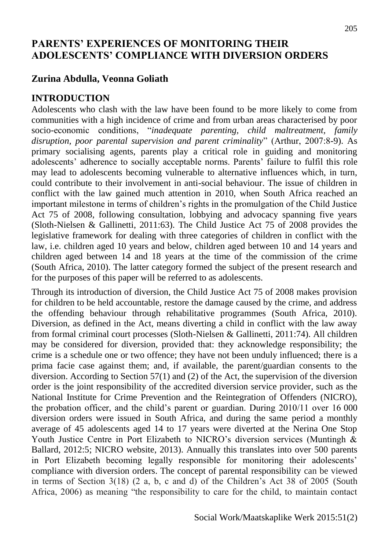## **PARENTS' EXPERIENCES OF MONITORING THEIR ADOLESCENTS' COMPLIANCE WITH DIVERSION ORDERS**

# **Zurina Abdulla, Veonna Goliath**

# **INTRODUCTION**

Adolescents who clash with the law have been found to be more likely to come from communities with a high incidence of crime and from urban areas characterised by poor socio-economic conditions, "*inadequate parenting, child maltreatment, family disruption, poor parental supervision and parent criminality*" (Arthur, 2007:8-9). As primary socialising agents, parents play a critical role in guiding and monitoring adolescents' adherence to socially acceptable norms. Parents' failure to fulfil this role may lead to adolescents becoming vulnerable to alternative influences which, in turn, could contribute to their involvement in anti-social behaviour. The issue of children in conflict with the law gained much attention in 2010, when South Africa reached an important milestone in terms of children's rights in the promulgation of the Child Justice Act 75 of 2008, following consultation, lobbying and advocacy spanning five years (Sloth-Nielsen & Gallinetti, 2011:63). The Child Justice Act 75 of 2008 provides the legislative framework for dealing with three categories of children in conflict with the law, i.e. children aged 10 years and below, children aged between 10 and 14 years and children aged between 14 and 18 years at the time of the commission of the crime (South Africa, 2010). The latter category formed the subject of the present research and for the purposes of this paper will be referred to as adolescents.

Through its introduction of diversion, the Child Justice Act 75 of 2008 makes provision for children to be held accountable, restore the damage caused by the crime, and address the offending behaviour through rehabilitative programmes (South Africa, 2010). Diversion, as defined in the Act, means diverting a child in conflict with the law away from formal criminal court processes (Sloth-Nielsen & Gallinetti, 2011:74). All children may be considered for diversion, provided that: they acknowledge responsibility; the crime is a schedule one or two offence; they have not been unduly influenced; there is a prima facie case against them; and, if available, the parent/guardian consents to the diversion. According to Section 57(1) and (2) of the Act, the supervision of the diversion order is the joint responsibility of the accredited diversion service provider, such as the National Institute for Crime Prevention and the Reintegration of Offenders (NICRO), the probation officer, and the child's parent or guardian. During 2010/11 over 16 000 diversion orders were issued in South Africa, and during the same period a monthly average of 45 adolescents aged 14 to 17 years were diverted at the Nerina One Stop Youth Justice Centre in Port Elizabeth to NICRO's diversion services (Muntingh & Ballard, 2012:5; NICRO website, 2013). Annually this translates into over 500 parents in Port Elizabeth becoming legally responsible for monitoring their adolescents' compliance with diversion orders. The concept of parental responsibility can be viewed in terms of Section 3(18) (2 a, b, c and d) of the Children's Act 38 of 2005 (South Africa, 2006) as meaning "the responsibility to care for the child, to maintain contact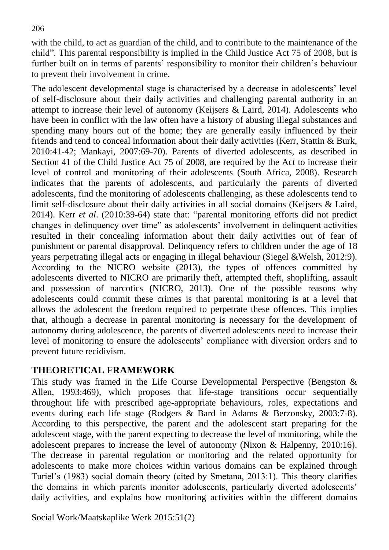with the child, to act as guardian of the child, and to contribute to the maintenance of the child"*.* This parental responsibility is implied in the Child Justice Act 75 of 2008, but is further built on in terms of parents' responsibility to monitor their children's behaviour to prevent their involvement in crime.

The adolescent developmental stage is characterised by a decrease in adolescents' level of self-disclosure about their daily activities and challenging parental authority in an attempt to increase their level of autonomy (Keijsers & Laird, 2014). Adolescents who have been in conflict with the law often have a history of abusing illegal substances and spending many hours out of the home; they are generally easily influenced by their friends and tend to conceal information about their daily activities (Kerr, Stattin & Burk, 2010:41-42; Mankayi, 2007:69-70). Parents of diverted adolescents, as described in Section 41 of the Child Justice Act 75 of 2008, are required by the Act to increase their level of control and monitoring of their adolescents (South Africa, 2008). Research indicates that the parents of adolescents, and particularly the parents of diverted adolescents, find the monitoring of adolescents challenging, as these adolescents tend to limit self-disclosure about their daily activities in all social domains (Keijsers & Laird, 2014). Kerr *et al*. (2010:39-64) state that: "parental monitoring efforts did not predict changes in delinquency over time" as adolescents' involvement in delinquent activities resulted in their concealing information about their daily activities out of fear of punishment or parental disapproval. Delinquency refers to children under the age of 18 years perpetrating illegal acts or engaging in illegal behaviour (Siegel &Welsh, 2012:9). According to the NICRO website (2013), the types of offences committed by adolescents diverted to NICRO are primarily theft, attempted theft, shoplifting, assault and possession of narcotics [\(NICRO,](http://www.nicro.org.za/) 2013). One of the possible reasons why adolescents could commit these crimes is that parental monitoring is at a level that allows the adolescent the freedom required to perpetrate these offences. This implies that, although a decrease in parental monitoring is necessary for the development of autonomy during adolescence, the parents of diverted adolescents need to increase their level of monitoring to ensure the adolescents' compliance with diversion orders and to prevent future recidivism.

## **THEORETICAL FRAMEWORK**

This study was framed in the Life Course Developmental Perspective (Bengston & Allen, 1993:469), which proposes that life-stage transitions occur sequentially throughout life with prescribed age-appropriate behaviours, roles, expectations and events during each life stage (Rodgers & Bard in Adams & Berzonsky, 2003:7-8). According to this perspective, the parent and the adolescent start preparing for the adolescent stage, with the parent expecting to decrease the level of monitoring, while the adolescent prepares to increase the level of autonomy (Nixon & Halpenny, 2010:16). The decrease in parental regulation or monitoring and the related opportunity for adolescents to make more choices within various domains can be explained through Turiel's (1983) social domain theory (cited by Smetana, 2013:1). This theory clarifies the domains in which parents monitor adolescents, particularly diverted adolescents' daily activities, and explains how monitoring activities within the different domains

Social Work/Maatskaplike Werk 2015:51(2)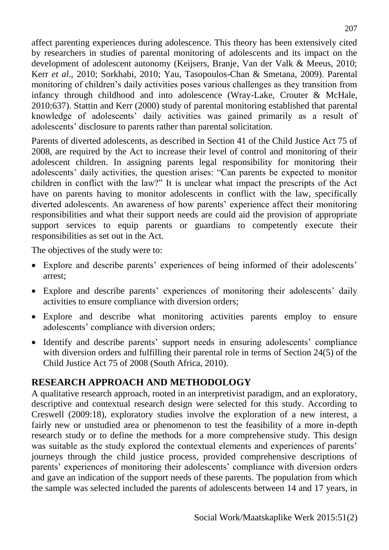affect parenting experiences during adolescence. This theory has been extensively cited by researchers in studies of parental monitoring of adolescents and its impact on the development of adolescent autonomy (Keijsers, Branje, Van der Valk & Meeus, 2010; Kerr *et al*., 2010; Sorkhabi, 2010; Yau, Tasopoulos-Chan & Smetana, 2009). Parental monitoring of children's daily activities poses various challenges as they transition from infancy through childhood and into adolescence (Wray-Lake, Crouter & McHale, 2010:637). Stattin and Kerr (2000) study of parental monitoring established that parental knowledge of adolescents' daily activities was gained primarily as a result of adolescents' disclosure to parents rather than parental solicitation.

Parents of diverted adolescents, as described in Section 41 of the Child Justice Act 75 of 2008, are required by the Act to increase their level of control and monitoring of their adolescent children. In assigning parents legal responsibility for monitoring their adolescents' daily activities, the question arises: "Can parents be expected to monitor children in conflict with the law?" It is unclear what impact the prescripts of the Act have on parents having to monitor adolescents in conflict with the law, specifically diverted adolescents. An awareness of how parents' experience affect their monitoring responsibilities and what their support needs are could aid the provision of appropriate support services to equip parents or guardians to competently execute their responsibilities as set out in the Act.

The objectives of the study were to:

- Explore and describe parents' experiences of being informed of their adolescents' arrest;
- Explore and describe parents' experiences of monitoring their adolescents' daily activities to ensure compliance with diversion orders;
- Explore and describe what monitoring activities parents employ to ensure adolescents' compliance with diversion orders;
- Identify and describe parents' support needs in ensuring adolescents' compliance with diversion orders and fulfilling their parental role in terms of Section 24(5) of the Child Justice Act 75 of 2008 (South Africa, 2010).

# **RESEARCH APPROACH AND METHODOLOGY**

A qualitative research approach, rooted in an interpretivist paradigm, and an exploratory, descriptive and contextual research design were selected for this study. According to Creswell (2009:18), exploratory studies involve the exploration of a new interest, a fairly new or unstudied area or phenomenon to test the feasibility of a more in-depth research study or to define the methods for a more comprehensive study. This design was suitable as the study explored the contextual elements and experiences of parents' journeys through the child justice process, provided comprehensive descriptions of parents' experiences of monitoring their adolescents' compliance with diversion orders and gave an indication of the support needs of these parents. The population from which the sample was selected included the parents of adolescents between 14 and 17 years, in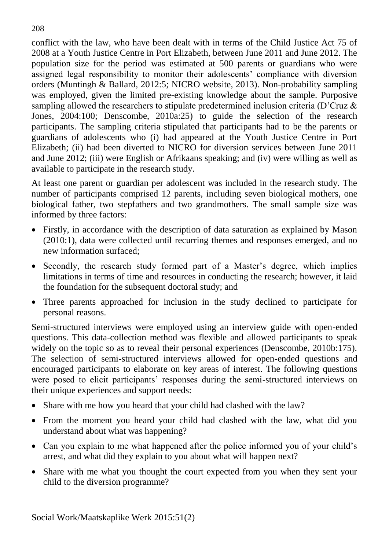conflict with the law, who have been dealt with in terms of the Child Justice Act 75 of 2008 at a Youth Justice Centre in Port Elizabeth, between June 2011 and June 2012. The population size for the period was estimated at 500 parents or guardians who were assigned legal responsibility to monitor their adolescents' compliance with diversion orders (Muntingh & Ballard, 2012:5; NICRO website, 2013). Non-probability sampling was employed, given the limited pre-existing knowledge about the sample. Purposive sampling allowed the researchers to stipulate predetermined inclusion criteria (D'Cruz & Jones, 2004:100; Denscombe, 2010a:25) to guide the selection of the research participants. The sampling criteria stipulated that participants had to be the parents or guardians of adolescents who (i) had appeared at the Youth Justice Centre in Port Elizabeth; (ii) had been diverted to NICRO for diversion services between June 2011 and June 2012; (iii) were English or Afrikaans speaking; and (iv) were willing as well as available to participate in the research study.

At least one parent or guardian per adolescent was included in the research study. The number of participants comprised 12 parents, including seven biological mothers, one biological father, two stepfathers and two grandmothers. The small sample size was informed by three factors:

- Firstly, in accordance with the description of data saturation as explained by Mason (2010:1), data were collected until recurring themes and responses emerged, and no new information surfaced;
- Secondly, the research study formed part of a Master's degree, which implies limitations in terms of time and resources in conducting the research; however, it laid the foundation for the subsequent doctoral study; and
- Three parents approached for inclusion in the study declined to participate for personal reasons.

Semi-structured interviews were employed using an interview guide with open-ended questions. This data-collection method was flexible and allowed participants to speak widely on the topic so as to reveal their personal experiences (Denscombe, 2010b:175). The selection of semi-structured interviews allowed for open-ended questions and encouraged participants to elaborate on key areas of interest. The following questions were posed to elicit participants' responses during the semi-structured interviews on their unique experiences and support needs:

- Share with me how you heard that your child had clashed with the law?
- From the moment you heard your child had clashed with the law, what did you understand about what was happening?
- Can you explain to me what happened after the police informed you of your child's arrest, and what did they explain to you about what will happen next?
- Share with me what you thought the court expected from you when they sent your child to the diversion programme?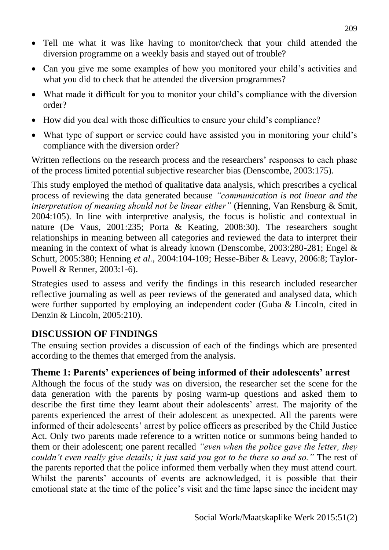- Tell me what it was like having to monitor/check that your child attended the diversion programme on a weekly basis and stayed out of trouble?
- Can you give me some examples of how you monitored your child's activities and what you did to check that he attended the diversion programmes?
- What made it difficult for you to monitor your child's compliance with the diversion order?
- How did you deal with those difficulties to ensure your child's compliance?
- What type of support or service could have assisted you in monitoring your child's compliance with the diversion order?

Written reflections on the research process and the researchers' responses to each phase of the process limited potential subjective researcher bias (Denscombe, 2003:175).

This study employed the method of qualitative data analysis, which prescribes a cyclical process of reviewing the data generated because *"communication is not linear and the interpretation of meaning should not be linear either"* (Henning, Van Rensburg & Smit, 2004:105). In line with interpretive analysis, the focus is holistic and contextual in nature (De Vaus, 2001:235; Porta & Keating, 2008:30). The researchers sought relationships in meaning between all categories and reviewed the data to interpret their meaning in the context of what is already known (Denscombe, 2003:280-281; Engel & Schutt, 2005:380; Henning *et al.,* 2004:104-109; Hesse-Biber & Leavy, 2006:8; Taylor-Powell & Renner, 2003:1-6).

Strategies used to assess and verify the findings in this research included researcher reflective journaling as well as peer reviews of the generated and analysed data, which were further supported by employing an independent coder (Guba & Lincoln, cited in Denzin & Lincoln, 2005:210).

## **DISCUSSION OF FINDINGS**

The ensuing section provides a discussion of each of the findings which are presented according to the themes that emerged from the analysis.

# **Theme 1: Parents' experiences of being informed of their adolescents' arrest**

Although the focus of the study was on diversion, the researcher set the scene for the data generation with the parents by posing warm-up questions and asked them to describe the first time they learnt about their adolescents' arrest. The majority of the parents experienced the arrest of their adolescent as unexpected. All the parents were informed of their adolescents' arrest by police officers as prescribed by the Child Justice Act. Only two parents made reference to a written notice or summons being handed to them or their adolescent; one parent recalled *"even when the police gave the letter, they couldn't even really give details; it just said you got to be there so and so."* The rest of the parents reported that the police informed them verbally when they must attend court. Whilst the parents' accounts of events are acknowledged, it is possible that their emotional state at the time of the police's visit and the time lapse since the incident may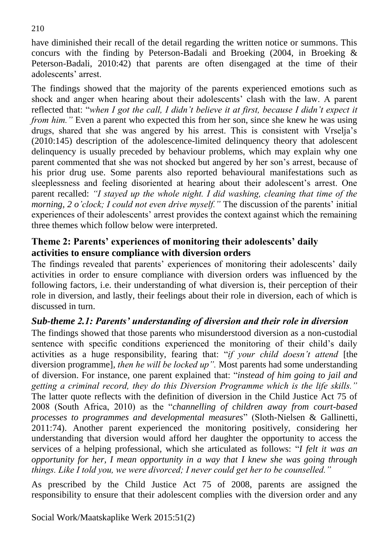have diminished their recall of the detail regarding the written notice or summons. This concurs with the finding by Peterson-Badali and Broeking (2004, in Broeking & Peterson-Badali, 2010:42) that parents are often disengaged at the time of their adolescents' arrest.

The findings showed that the majority of the parents experienced emotions such as shock and anger when hearing about their adolescents' clash with the law. A parent reflected that: "*when I got the call, I didn't believe it at first, because I didn't expect it from him.*" Even a parent who expected this from her son, since she knew he was using drugs, shared that she was angered by his arrest. This is consistent with Vrselja's (2010:145) description of the adolescence-limited delinquency theory that adolescent delinquency is usually preceded by behaviour problems, which may explain why one parent commented that she was not shocked but angered by her son's arrest, because of his prior drug use. Some parents also reported behavioural manifestations such as sleeplessness and feeling disoriented at hearing about their adolescent's arrest. One parent recalled: *"I stayed up the whole night. I did washing, cleaning that time of the morning, 2 o'clock; I could not even drive myself."* The discussion of the parents' initial experiences of their adolescents' arrest provides the context against which the remaining three themes which follow below were interpreted.

## **Theme 2: Parents' experiences of monitoring their adolescents' daily activities to ensure compliance with diversion orders**

The findings revealed that parents' experiences of monitoring their adolescents' daily activities in order to ensure compliance with diversion orders was influenced by the following factors, i.e. their understanding of what diversion is, their perception of their role in diversion, and lastly, their feelings about their role in diversion, each of which is discussed in turn.

# *Sub-theme 2.1: Parents' understanding of diversion and their role in diversion*

The findings showed that those parents who misunderstood diversion as a non-custodial sentence with specific conditions experienced the monitoring of their child's daily activities as a huge responsibility, fearing that: "*if your child doesn't attend* [the diversion programme]*, then he will be locked up".* Most parents had some understanding of diversion. For instance, one parent explained that: "*instead of him going to jail and getting a criminal record, they do this Diversion Programme which is the life skills."*  The latter quote reflects with the definition of diversion in the Child Justice Act 75 of 2008 (South Africa, 2010) as the "*channelling of children away from court-based processes to programmes and developmental measures*" (Sloth-Nielsen & Gallinetti, 2011:74). Another parent experienced the monitoring positively, considering her understanding that diversion would afford her daughter the opportunity to access the services of a helping professional, which she articulated as follows: "*I felt it was an opportunity for her, I mean opportunity in a way that I knew she was going through things. Like I told you, we were divorced; I never could get her to be counselled."*

As prescribed by the Child Justice Act 75 of 2008, parents are assigned the responsibility to ensure that their adolescent complies with the diversion order and any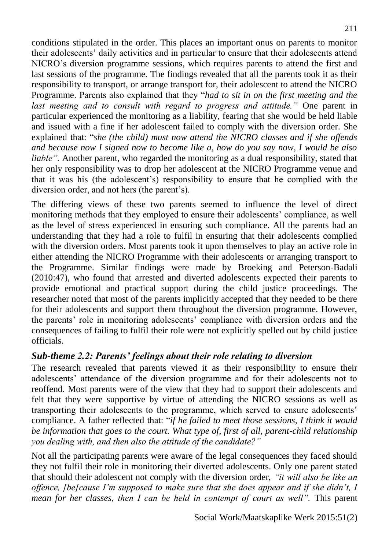conditions stipulated in the order. This places an important onus on parents to monitor their adolescents' daily activities and in particular to ensure that their adolescents attend NICRO's diversion programme sessions, which requires parents to attend the first and last sessions of the programme. The findings revealed that all the parents took it as their responsibility to transport, or arrange transport for, their adolescent to attend the NICRO Programme. Parents also explained that they "*had to sit in on the first meeting and the last meeting and to consult with regard to progress and attitude."* One parent in particular experienced the monitoring as a liability, fearing that she would be held liable and issued with a fine if her adolescent failed to comply with the diversion order. She explained that: "*she (the child) must now attend the NICRO classes and if she offends and because now I signed now to become like a, how do you say now, I would be also liable*". Another parent, who regarded the monitoring as a dual responsibility, stated that her only responsibility was to drop her adolescent at the NICRO Programme venue and that it was his (the adolescent's) responsibility to ensure that he complied with the diversion order, and not hers (the parent's).

The differing views of these two parents seemed to influence the level of direct monitoring methods that they employed to ensure their adolescents' compliance, as well as the level of stress experienced in ensuring such compliance. All the parents had an understanding that they had a role to fulfil in ensuring that their adolescents complied with the diversion orders. Most parents took it upon themselves to play an active role in either attending the NICRO Programme with their adolescents or arranging transport to the Programme. Similar findings were made by Broeking and Peterson-Badali (2010:47), who found that arrested and diverted adolescents expected their parents to provide emotional and practical support during the child justice proceedings. The researcher noted that most of the parents implicitly accepted that they needed to be there for their adolescents and support them throughout the diversion programme. However, the parents' role in monitoring adolescents' compliance with diversion orders and the consequences of failing to fulfil their role were not explicitly spelled out by child justice officials.

# *Sub-theme 2.2: Parents' feelings about their role relating to diversion*

The research revealed that parents viewed it as their responsibility to ensure their adolescents' attendance of the diversion programme and for their adolescents not to reoffend. Most parents were of the view that they had to support their adolescents and felt that they were supportive by virtue of attending the NICRO sessions as well as transporting their adolescents to the programme, which served to ensure adolescents' compliance. A father reflected that: "*if he failed to meet those sessions, I think it would be information that goes to the court. What type of, first of all, parent-child relationship you dealing with, and then also the attitude of the candidate?"*

Not all the participating parents were aware of the legal consequences they faced should they not fulfil their role in monitoring their diverted adolescents. Only one parent stated that should their adolescent not comply with the diversion order, *"it will also be like an offence, [be]cause I'm supposed to make sure that she does appear and if she didn't, I mean for her classes, then I can be held in contempt of court as well*". This parent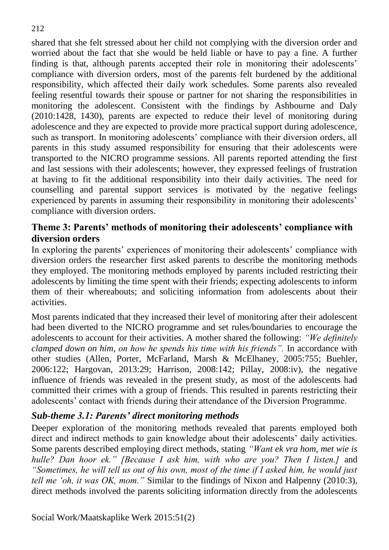shared that she felt stressed about her child not complying with the diversion order and worried about the fact that she would be held liable or have to pay a fine. A further finding is that, although parents accepted their role in monitoring their adolescents' compliance with diversion orders, most of the parents felt burdened by the additional responsibility, which affected their daily work schedules. Some parents also revealed feeling resentful towards their spouse or partner for not sharing the responsibilities in monitoring the adolescent. Consistent with the findings by Ashbourne and Daly (2010:1428, 1430), parents are expected to reduce their level of monitoring during adolescence and they are expected to provide more practical support during adolescence, such as transport. In monitoring adolescents' compliance with their diversion orders, all parents in this study assumed responsibility for ensuring that their adolescents were transported to the NICRO programme sessions. All parents reported attending the first and last sessions with their adolescents; however, they expressed feelings of frustration at having to fit the additional responsibility into their daily activities. The need for counselling and parental support services is motivated by the negative feelings experienced by parents in assuming their responsibility in monitoring their adolescents' compliance with diversion orders.

#### **Theme 3: Parents' methods of monitoring their adolescents' compliance with diversion orders**

In exploring the parents' experiences of monitoring their adolescents' compliance with diversion orders the researcher first asked parents to describe the monitoring methods they employed. The monitoring methods employed by parents included restricting their adolescents by limiting the time spent with their friends; expecting adolescents to inform them of their whereabouts; and soliciting information from adolescents about their activities.

Most parents indicated that they increased their level of monitoring after their adolescent had been diverted to the NICRO programme and set rules/boundaries to encourage the adolescents to account for their activities. A mother shared the following: *"We definitely clamped down on him, on how he spends his time with his friends".* In accordance with other studies (Allen, Porter, McFarland, Marsh & McElhaney, 2005:755; Buehler, 2006:122; Hargovan, 2013:29; Harrison, 2008:142; Pillay, 2008:iv), the negative influence of friends was revealed in the present study, as most of the adolescents had committed their crimes with a group of friends. This resulted in parents restricting their adolescents' contact with friends during their attendance of the Diversion Programme.

#### *Sub-theme 3.1: Parents' direct monitoring methods*

Deeper exploration of the monitoring methods revealed that parents employed both direct and indirect methods to gain knowledge about their adolescents' daily activities. Some parents described employing direct methods, stating *"Want ek vra hom, met wie is hulle? Dan hoor ek." [Because I ask him, with who are you? Then I listen.]* and *"Sometimes, he will tell us out of his own, most of the time if I asked him, he would just tell me 'oh, it was OK, mom."* Similar to the findings of Nixon and Halpenny (2010:3), direct methods involved the parents soliciting information directly from the adolescents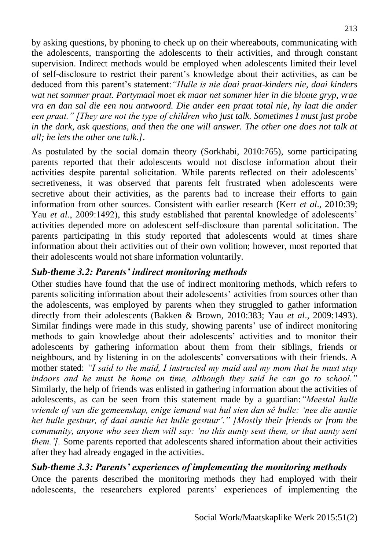by asking questions, by phoning to check up on their whereabouts, communicating with the adolescents, transporting the adolescents to their activities, and through constant supervision. Indirect methods would be employed when adolescents limited their level of self-disclosure to restrict their parent's knowledge about their activities, as can be deduced from this parent's statement:*"Hulle is nie daai praat-kinders nie, daai kinders wat net sommer praat. Partymaal moet ek maar net sommer hier in die bloute gryp, vrae vra en dan sal die een nou antwoord. Die ander een praat total nie, hy laat die ander een praat." [They are not the type of children who just talk. Sometimes I must just probe in the dark, ask questions, and then the one will answer. The other one does not talk at all; he lets the other one talk.]*.

As postulated by the social domain theory (Sorkhabi, 2010:765), some participating parents reported that their adolescents would not disclose information about their activities despite parental solicitation. While parents reflected on their adolescents' secretiveness, it was observed that parents felt frustrated when adolescents were secretive about their activities, as the parents had to increase their efforts to gain information from other sources. Consistent with earlier research (Kerr *et al*., 2010:39; Yau *et al*., 2009:1492), this study established that parental knowledge of adolescents' activities depended more on adolescent self-disclosure than parental solicitation. The parents participating in this study reported that adolescents would at times share information about their activities out of their own volition; however, most reported that their adolescents would not share information voluntarily.

# *Sub-theme 3.2: Parents' indirect monitoring methods*

Other studies have found that the use of indirect monitoring methods, which refers to parents soliciting information about their adolescents' activities from sources other than the adolescents, was employed by parents when they struggled to gather information directly from their adolescents (Bakken & Brown, 2010:383; Yau *et al*., 2009:1493). Similar findings were made in this study, showing parents' use of indirect monitoring methods to gain knowledge about their adolescents' activities and to monitor their adolescents by gathering information about them from their siblings, friends or neighbours, and by listening in on the adolescents' conversations with their friends. A mother stated: *"I said to the maid, I instructed my maid and my mom that he must stay indoors and he must be home on time, although they said he can go to school."*  Similarly, the help of friends was enlisted in gathering information about the activities of adolescents, as can be seen from this statement made by a guardian:*"Meestal hulle vriende of van die gemeenskap, enige iemand wat hul sien dan sê hulle: 'nee die auntie het hulle gestuur, of daai auntie het hulle gestuur'." [Mostly their friends or from the community, anyone who sees them will say: 'no this aunty sent them, or that aunty sent them.'].* Some parents reported that adolescents shared information about their activities after they had already engaged in the activities.

## *Sub-theme 3.3: Parents' experiences of implementing the monitoring methods*

Once the parents described the monitoring methods they had employed with their adolescents, the researchers explored parents' experiences of implementing the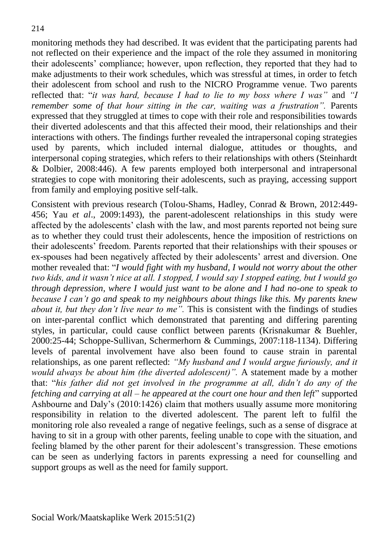monitoring methods they had described. It was evident that the participating parents had not reflected on their experience and the impact of the role they assumed in monitoring their adolescents' compliance; however, upon reflection, they reported that they had to make adjustments to their work schedules, which was stressful at times, in order to fetch their adolescent from school and rush to the NICRO Programme venue. Two parents reflected that: "*it was hard, because I had to lie to my boss where I was"* and *"I remember some of that hour sitting in the car, waiting was a frustration".* Parents expressed that they struggled at times to cope with their role and responsibilities towards their diverted adolescents and that this affected their mood, their relationships and their interactions with others. The findings further revealed the intrapersonal coping strategies used by parents, which included internal dialogue, attitudes or thoughts, and interpersonal coping strategies, which refers to their relationships with others (Steinhardt & Dolbier, 2008:446). A few parents employed both interpersonal and intrapersonal strategies to cope with monitoring their adolescents, such as praying, accessing support from family and employing positive self-talk.

Consistent with previous research (Tolou-Shams, Hadley, Conrad & Brown, 2012:449- 456; Yau *et al*., 2009:1493), the parent-adolescent relationships in this study were affected by the adolescents' clash with the law, and most parents reported not being sure as to whether they could trust their adolescents, hence the imposition of restrictions on their adolescents' freedom. Parents reported that their relationships with their spouses or ex-spouses had been negatively affected by their adolescents' arrest and diversion. One mother revealed that: "*I would fight with my husband, I would not worry about the other two kids, and it wasn't nice at all. I stopped, I would say I stopped eating, but I would go through depression, where I would just want to be alone and I had no-one to speak to because I can't go and speak to my neighbours about things like this. My parents knew about it, but they don't live near to me".* This is consistent with the findings of studies on inter-parental conflict which demonstrated that parenting and differing parenting styles, in particular, could cause conflict between parents (Krisnakumar & Buehler, 2000:25-44; Schoppe-Sullivan, Schermerhorn & Cummings, 2007:118-1134). Differing levels of parental involvement have also been found to cause strain in parental relationships, as one parent reflected: *"My husband and I would argue furiously, and it would always be about him (the diverted adolescent)".* A statement made by a mother that: "*his father did not get involved in the programme at all, didn't do any of the fetching and carrying at all – he appeared at the court one hour and then left*" supported Ashbourne and Daly's (2010:1426) claim that mothers usually assume more monitoring responsibility in relation to the diverted adolescent. The parent left to fulfil the monitoring role also revealed a range of negative feelings, such as a sense of disgrace at having to sit in a group with other parents, feeling unable to cope with the situation, and feeling blamed by the other parent for their adolescent's transgression. These emotions can be seen as underlying factors in parents expressing a need for counselling and support groups as well as the need for family support.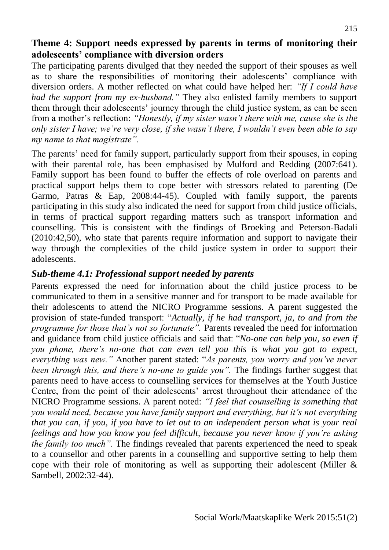## **Theme 4: Support needs expressed by parents in terms of monitoring their adolescents' compliance with diversion orders**

The participating parents divulged that they needed the support of their spouses as well as to share the responsibilities of monitoring their adolescents' compliance with diversion orders. A mother reflected on what could have helped her: *"If I could have had the support from my ex-husband."* They also enlisted family members to support them through their adolescents' journey through the child justice system, as can be seen from a mother's reflection: *"Honestly, if my sister wasn't there with me, cause she is the only sister I have; we're very close, if she wasn't there, I wouldn't even been able to say my name to that magistrate".* 

The parents' need for family support, particularly support from their spouses, in coping with their parental role, has been emphasised by Mulford and Redding (2007:641). Family support has been found to buffer the effects of role overload on parents and practical support helps them to cope better with stressors related to parenting (De Garmo, Patras & Eap, 2008:44-45). Coupled with family support, the parents participating in this study also indicated the need for support from child justice officials, in terms of practical support regarding matters such as transport information and counselling. This is consistent with the findings of Broeking and Peterson-Badali (2010:42,50), who state that parents require information and support to navigate their way through the complexities of the child justice system in order to support their adolescents.

#### *Sub-theme 4.1: Professional support needed by parents*

Parents expressed the need for information about the child justice process to be communicated to them in a sensitive manner and for transport to be made available for their adolescents to attend the NICRO Programme sessions. A parent suggested the provision of state-funded transport: "*Actually, if he had transport, ja, to and from the programme for those that's not so fortunate".* Parents revealed the need for information and guidance from child justice officials and said that: "*No-one can help you, so even if you phone, there's no-one that can even tell you this is what you got to expect, everything was new."* Another parent stated: "*As parents, you worry and you've never been through this, and there's no-one to guide you".* The findings further suggest that parents need to have access to counselling services for themselves at the Youth Justice Centre, from the point of their adolescents' arrest throughout their attendance of the NICRO Programme sessions. A parent noted: *"I feel that counselling is something that you would need, because you have family support and everything, but it's not everything that you can, if you, if you have to let out to an independent person what is your real feelings and how you know you feel difficult, because you never know if you're asking the family too much*". The findings revealed that parents experienced the need to speak to a counsellor and other parents in a counselling and supportive setting to help them cope with their role of monitoring as well as supporting their adolescent (Miller & Sambell, 2002:32-44).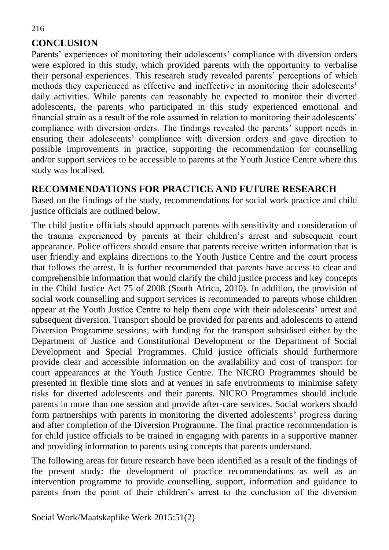# **CONCLUSION**

Parents' experiences of monitoring their adolescents' compliance with diversion orders were explored in this study, which provided parents with the opportunity to verbalise their personal experiences. This research study revealed parents' perceptions of which methods they experienced as effective and ineffective in monitoring their adolescents' daily activities. While parents can reasonably be expected to monitor their diverted adolescents, the parents who participated in this study experienced emotional and financial strain as a result of the role assumed in relation to monitoring their adolescents' compliance with diversion orders. The findings revealed the parents' support needs in ensuring their adolescents' compliance with diversion orders and gave direction to possible improvements in practice, supporting the recommendation for counselling and/or support services to be accessible to parents at the Youth Justice Centre where this study was localised.

#### **RECOMMENDATIONS FOR PRACTICE AND FUTURE RESEARCH**

Based on the findings of the study, recommendations for social work practice and child justice officials are outlined below.

The child justice officials should approach parents with sensitivity and consideration of the trauma experienced by parents at their children's arrest and subsequent court appearance. Police officers should ensure that parents receive written information that is user friendly and explains directions to the Youth Justice Centre and the court process that follows the arrest. It is further recommended that parents have access to clear and comprehensible information that would clarify the child justice process and key concepts in the Child Justice Act 75 of 2008 (South Africa, 2010). In addition, the provision of social work counselling and support services is recommended to parents whose children appear at the Youth Justice Centre to help them cope with their adolescents' arrest and subsequent diversion. Transport should be provided for parents and adolescents to attend Diversion Programme sessions, with funding for the transport subsidised either by the Department of Justice and Constitutional Development or the Department of Social Development and Special Programmes. Child justice officials should furthermore provide clear and accessible information on the availability and cost of transport for court appearances at the Youth Justice Centre. The NICRO Programmes should be presented in flexible time slots and at venues in safe environments to minimise safety risks for diverted adolescents and their parents. NICRO Programmes should include parents in more than one session and provide after-care services. Social workers should form partnerships with parents in monitoring the diverted adolescents' progress during and after completion of the Diversion Programme. The final practice recommendation is for child justice officials to be trained in engaging with parents in a supportive manner and providing information to parents using concepts that parents understand.

The following areas for future research have been identified as a result of the findings of the present study: the development of practice recommendations as well as an intervention programme to provide counselling, support, information and guidance to parents from the point of their children's arrest to the conclusion of the diversion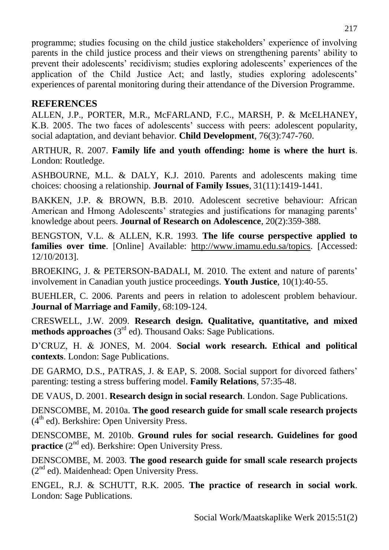programme; studies focusing on the child justice stakeholders' experience of involving parents in the child justice process and their views on strengthening parents' ability to prevent their adolescents' recidivism; studies exploring adolescents' experiences of the application of the Child Justice Act; and lastly, studies exploring adolescents' experiences of parental monitoring during their attendance of the Diversion Programme.

## **REFERENCES**

ALLEN, J.P., PORTER, M.R., McFARLAND, F.C., MARSH, P. & McELHANEY, K.B. 2005. The two faces of adolescents' success with peers: adolescent popularity, social adaptation, and deviant behavior. **Child Development**, 76(3):747-760.

ARTHUR, R. 2007. **Family life and youth offending: home is where the hurt is**. London: Routledge.

ASHBOURNE, M.L. & DALY, K.J. 2010. Parents and adolescents making time choices: choosing a relationship. **Journal of Family Issues**, 31(11):1419-1441.

BAKKEN, J.P. & BROWN, B.B. 2010. Adolescent secretive behaviour: African American and Hmong Adolescents' strategies and justifications for managing parents' knowledge about peers. **Journal of Research on Adolescence**, 20(2):359-388.

BENGSTON, V.L. & ALLEN, K.R. 1993. **The life course perspective applied to families over time**. [Online] Available: [http://www.imamu.edu.sa/topics.](http://www.imamu.edu.sa/topics) [Accessed: 12/10/2013].

BROEKING, J. & PETERSON-BADALI, M. 2010. The extent and nature of parents' involvement in Canadian youth justice proceedings. **Youth Justice**, 10(1):40-55.

BUEHLER, C. 2006. Parents and peers in relation to adolescent problem behaviour. **Journal of Marriage and Family**, 68:109-124.

CRESWELL, J.W. 2009. **Research design. Qualitative, quantitative, and mixed**  methods approaches (3<sup>rd</sup> ed). Thousand Oaks: Sage Publications.

D'CRUZ, H. & JONES, M. 2004. **Social work research. Ethical and political contexts**. London: Sage Publications.

DE GARMO, D.S., PATRAS, J. & EAP, S. 2008. Social support for divorced fathers' parenting: testing a stress buffering model. **Family Relations**, 57:35-48.

DE VAUS, D. 2001. **Research design in social research**. London. Sage Publications.

DENSCOMBE, M. 2010a. **The good research guide for small scale research projects** (4<sup>th</sup> ed). Berkshire: Open University Press.

DENSCOMBE, M. 2010b. **Ground rules for social research. Guidelines for good**  practice (2<sup>nd</sup> ed). Berkshire: Open University Press.

DENSCOMBE, M. 2003. **The good research guide for small scale research projects** (2<sup>nd</sup> ed). Maidenhead: Open University Press.

ENGEL, R.J. & SCHUTT, R.K. 2005. **The practice of research in social work**. London: Sage Publications.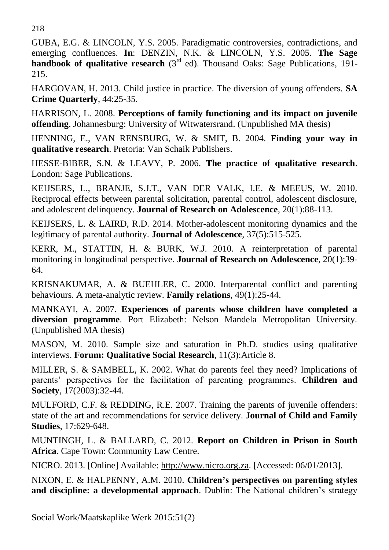218

GUBA, E.G. & LINCOLN, Y.S. 2005. Paradigmatic controversies, contradictions, and emerging confluences. **In**: DENZIN, N.K. & LINCOLN, Y.S. 2005. **The Sage handbook of qualitative research** (3<sup>rd</sup> ed). Thousand Oaks: Sage Publications, 191-215.

HARGOVAN, H. 2013. Child justice in practice. The diversion of young offenders. **SA Crime Quarterly**, 44:25-35.

HARRISON, L. 2008. **Perceptions of family functioning and its impact on juvenile offending**. Johannesburg: University of Witwatersrand. (Unpublished MA thesis)

HENNING, E., VAN RENSBURG, W. & SMIT, B. 2004. **Finding your way in qualitative research**. Pretoria: Van Schaik Publishers.

HESSE-BIBER, S.N. & LEAVY, P. 2006. **The practice of qualitative research**. London: Sage Publications.

KEIJSERS, L., BRANJE, S.J.T., VAN DER VALK, I.E. & MEEUS, W. 2010. Reciprocal effects between parental solicitation, parental control, adolescent disclosure, and adolescent delinquency. **Journal of Research on Adolescence**, 20(1):88-113.

KEIJSERS, L. & LAIRD, R.D. 2014. Mother-adolescent monitoring dynamics and the legitimacy of parental authority. **Journal of [Adolescence](http://www.sciencedirect.com/science/journal/01401971)**, [37\(5\)](http://www.sciencedirect.com/science/journal/01401971/37/5):515-525.

KERR, M., STATTIN, H. & BURK, W.J. 2010. A reinterpretation of parental monitoring in longitudinal perspective. **Journal of Research on Adolescence**, 20(1):39- 64.

KRISNAKUMAR, A. & BUEHLER, C. 2000. Interparental conflict and parenting behaviours. A meta-analytic review. **Family relations**, 49(1):25-44.

MANKAYI, A. 2007. **Experiences of parents whose children have completed a diversion programme**. Port Elizabeth: Nelson Mandela Metropolitan University. (Unpublished MA thesis)

MASON, M. 2010. Sample size and saturation in Ph.D. studies using qualitative interviews. **Forum: Qualitative Social Research**, 11(3):Article 8.

MILLER, S. & SAMBELL, K. 2002. What do parents feel they need? Implications of parents' perspectives for the facilitation of parenting programmes. **Children and Society**, 17(2003):32-44.

MULFORD, C.F. & REDDING, R.E. 2007. Training the parents of juvenile offenders: state of the art and recommendations for service delivery. **Journal of Child and Family Studies**, 17:629-648.

MUNTINGH, L. & BALLARD, C. 2012. **Report on Children in Prison in South Africa**. Cape Town: Community Law Centre.

NICRO. 2013. [Online] Available: [http://www.nicro.org.za.](http://www.nicro.org.za/) [Accessed: 06/01/2013].

NIXON, E. & HALPENNY, A.M. 2010. **Children's perspectives on parenting styles and discipline: a developmental approach**. Dublin: The National children's strategy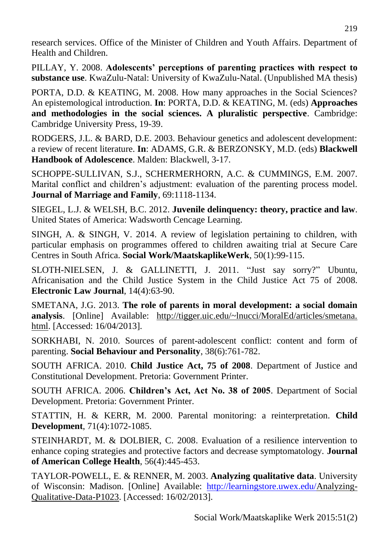research services. Office of the Minister of Children and Youth Affairs. Department of Health and Children.

PILLAY, Y. 2008. **Adolescents' perceptions of parenting practices with respect to substance use**. KwaZulu-Natal: University of KwaZulu-Natal. (Unpublished MA thesis)

PORTA, D.D. & KEATING, M. 2008. How many approaches in the Social Sciences? An epistemological introduction. **In**: PORTA, D.D. & KEATING, M. (eds) **Approaches and methodologies in the social sciences. A pluralistic perspective**. Cambridge: Cambridge University Press, 19-39.

RODGERS, J.L. & BARD, D.E. 2003. Behaviour genetics and adolescent development: a review of recent literature. **In**: ADAMS, G.R. & BERZONSKY, M.D. (eds) **Blackwell Handbook of Adolescence**. Malden: Blackwell, 3-17.

SCHOPPE-SULLIVAN, S.J., SCHERMERHORN, A.C. & CUMMINGS, E.M. 2007. Marital conflict and children's adjustment: evaluation of the parenting process model. **Journal of Marriage and Family**, 69:1118-1134.

SIEGEL, L.J. & WELSH, B.C. 2012. **Juvenile delinquency: theory, practice and law**. United States of America: Wadsworth Cencage Learning.

SINGH, A. & SINGH, V. 2014. A review of legislation pertaining to children, with particular emphasis on programmes offered to children awaiting trial at Secure Care Centres in South Africa. **Social Work/MaatskaplikeWerk**, 50(1):99-115.

SLOTH-NIELSEN, J. & GALLINETTI, J. 2011. "Just say sorry?" Ubuntu, Africanisation and the Child Justice System in the Child Justice Act 75 of 2008. **Electronic Law Journal**, 14(4):63-90.

SMETANA, J.G. 2013. **The role of parents in moral development: a social domain analysis**. [Online] Available: http://tigger.uic.edu/~lnucci/MoralEd/articles/smetana. html. [Accessed: 16/04/2013].

SORKHABI, N. 2010. Sources of parent-adolescent conflict: content and form of parenting. **Social Behaviour and Personality**, 38(6):761-782.

SOUTH AFRICA. 2010. **Child Justice Act, 75 of 2008**. Department of Justice and Constitutional Development. Pretoria: Government Printer.

SOUTH AFRICA. 2006. **Children's Act, Act No. 38 of 2005**. Department of Social Development. Pretoria: Government Printer.

STATTIN, H. & KERR, M. 2000. Parental monitoring: a reinterpretation. **Child Development**, 71(4):1072-1085.

STEINHARDT, M. & DOLBIER, C. 2008. Evaluation of a resilience intervention to enhance coping strategies and protective factors and decrease symptomatology. **Journal of American College Health**, 56(4):445-453.

TAYLOR-POWELL, E. & RENNER, M. 2003. **Analyzing qualitative data**. University of Wisconsin: Madison. [Online] Available: [http://learningstore.uwex.edu/A](http://learningstore.uwex.edu/)nalyzing-Qualitative-Data-P1023. [Accessed: 16/02/2013].